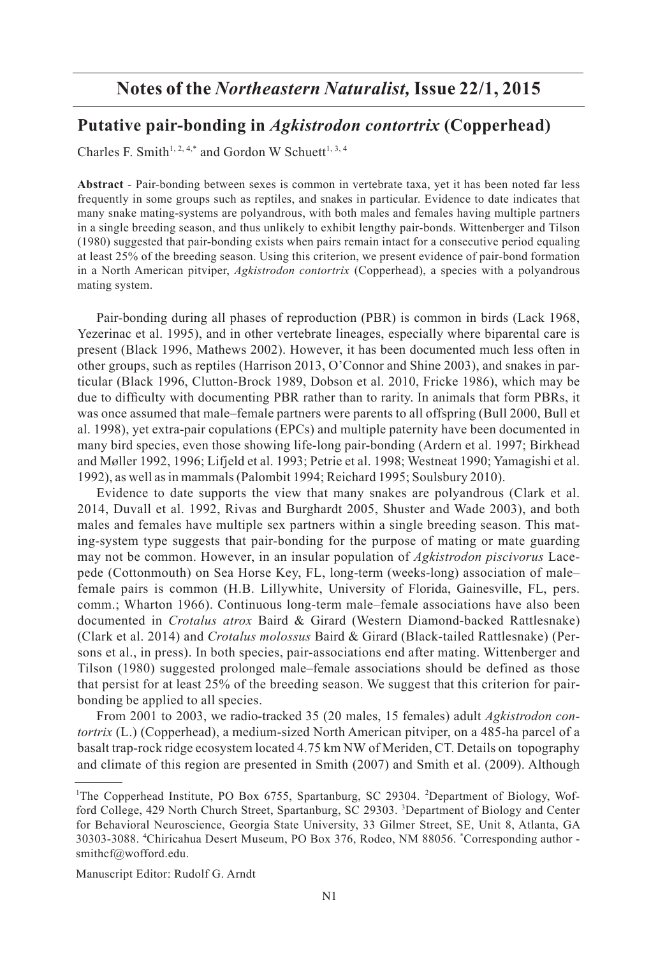## 2015 *Northeastern Naturalist* Notes Vol. 22, No. 1 **Notes of the** *Northeastern Naturalist,* **Issue 22/1, 2015**

## **Putative pair-bonding in** *Agkistrodon contortrix* **(Copperhead)**

Charles F. Smith<sup>1, 2, 4,\*</sup> and Gordon W Schuett<sup>1, 3, 4</sup>

**Abstract** - Pair-bonding between sexes is common in vertebrate taxa, yet it has been noted far less frequently in some groups such as reptiles, and snakes in particular. Evidence to date indicates that many snake mating-systems are polyandrous, with both males and females having multiple partners in a single breeding season, and thus unlikely to exhibit lengthy pair-bonds. Wittenberger and Tilson (1980) suggested that pair-bonding exists when pairs remain intact for a consecutive period equaling at least 25% of the breeding season. Using this criterion, we present evidence of pair-bond formation in a North American pitviper, *Agkistrodon contortrix* (Copperhead), a species with a polyandrous mating system.

 Pair-bonding during all phases of reproduction (PBR) is common in birds (Lack 1968, Yezerinac et al. 1995), and in other vertebrate lineages, especially where biparental care is present (Black 1996, Mathews 2002). However, it has been documented much less often in other groups, such as reptiles (Harrison 2013, O'Connor and Shine 2003), and snakes in particular (Black 1996, Clutton-Brock 1989, Dobson et al. 2010, Fricke 1986), which may be due to difficulty with documenting PBR rather than to rarity. In animals that form PBRs, it was once assumed that male–female partners were parents to all offspring (Bull 2000, Bull et al. 1998), yet extra-pair copulations (EPCs) and multiple paternity have been documented in many bird species, even those showing life-long pair-bonding (Ardern et al. 1997; Birkhead and Møller 1992, 1996; Lifjeld et al. 1993; Petrie et al. 1998; Westneat 1990; Yamagishi et al. 1992), as well as in mammals (Palombit 1994; Reichard 1995; Soulsbury 2010).

 Evidence to date supports the view that many snakes are polyandrous (Clark et al. 2014, Duvall et al. 1992, Rivas and Burghardt 2005, Shuster and Wade 2003), and both males and females have multiple sex partners within a single breeding season. This mating-system type suggests that pair-bonding for the purpose of mating or mate guarding may not be common. However, in an insular population of *Agkistrodon piscivorus* Lacepede (Cottonmouth) on Sea Horse Key, FL, long-term (weeks-long) association of male– female pairs is common (H.B. Lillywhite, University of Florida, Gainesville, FL, pers. comm.; Wharton 1966). Continuous long-term male–female associations have also been documented in *Crotalus atrox* Baird & Girard (Western Diamond-backed Rattlesnake) (Clark et al. 2014) and *Crotalus molossus* Baird & Girard (Black-tailed Rattlesnake) (Persons et al., in press). In both species, pair-associations end after mating. Wittenberger and Tilson (1980) suggested prolonged male–female associations should be defined as those that persist for at least 25% of the breeding season. We suggest that this criterion for pairbonding be applied to all species.

 From 2001 to 2003, we radio-tracked 35 (20 males, 15 females) adult *Agkistrodon contortrix* (L.) (Copperhead), a medium-sized North American pitviper, on a 485-ha parcel of a basalt trap-rock ridge ecosystem located 4.75 km NW of Meriden, CT. Details on topography and climate of this region are presented in Smith (2007) and Smith et al. (2009). Although

Manuscript Editor: Rudolf G. Arndt

<sup>&</sup>lt;sup>1</sup>The Copperhead Institute, PO Box 6755, Spartanburg, SC 29304. <sup>2</sup>Department of Biology, Wofford College, 429 North Church Street, Spartanburg, SC 29303. <sup>3</sup>Department of Biology and Center for Behavioral Neuroscience, Georgia State University, 33 Gilmer Street, SE, Unit 8, Atlanta, GA 30303-3088. <sup>4</sup> Chiricahua Desert Museum, PO Box 376, Rodeo, NM 88056. \* Corresponding author smithcf@wofford.edu.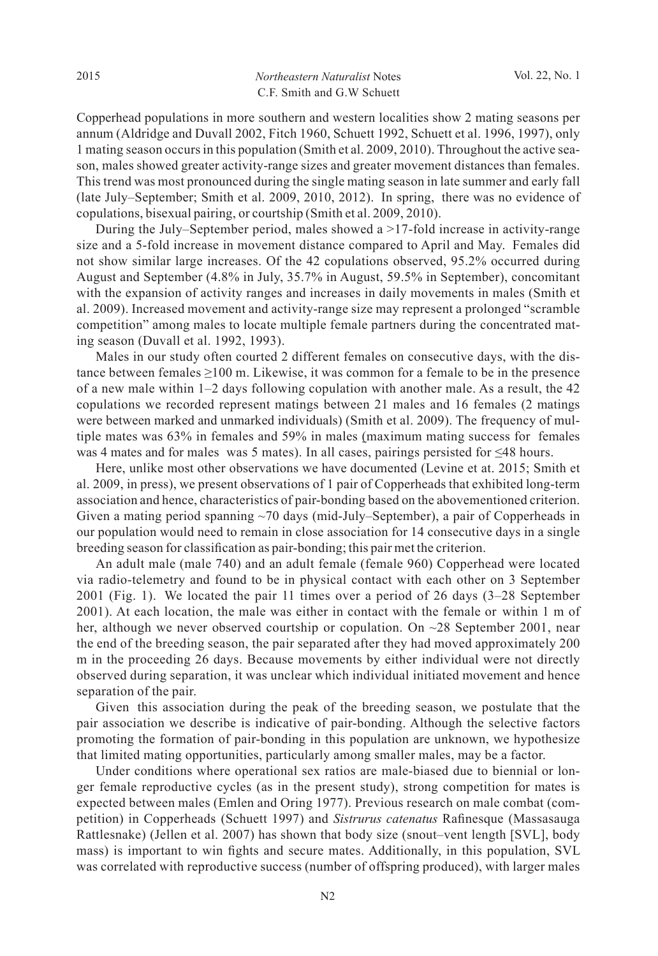Copperhead populations in more southern and western localities show 2 mating seasons per annum (Aldridge and Duvall 2002, Fitch 1960, Schuett 1992, Schuett et al. 1996, 1997), only 1 mating season occurs in this population (Smith et al. 2009, 2010). Throughout the active season, males showed greater activity-range sizes and greater movement distances than females. This trend was most pronounced during the single mating season in late summer and early fall (late July–September; Smith et al. 2009, 2010, 2012). In spring, there was no evidence of copulations, bisexual pairing, or courtship (Smith et al. 2009, 2010).

 During the July–September period, males showed a >17-fold increase in activity-range size and a 5-fold increase in movement distance compared to April and May. Females did not show similar large increases. Of the 42 copulations observed, 95.2% occurred during August and September (4.8% in July, 35.7% in August, 59.5% in September), concomitant with the expansion of activity ranges and increases in daily movements in males (Smith et al. 2009). Increased movement and activity-range size may represent a prolonged "scramble competition" among males to locate multiple female partners during the concentrated mating season (Duvall et al. 1992, 1993).

 Males in our study often courted 2 different females on consecutive days, with the distance between females  $\geq 100$  m. Likewise, it was common for a female to be in the presence of a new male within 1–2 days following copulation with another male. As a result, the 42 copulations we recorded represent matings between 21 males and 16 females (2 matings were between marked and unmarked individuals) (Smith et al. 2009). The frequency of multiple mates was 63% in females and 59% in males (maximum mating success for females was 4 mates and for males was 5 mates). In all cases, pairings persisted for ≤48 hours.

 Here, unlike most other observations we have documented (Levine et at. 2015; Smith et al. 2009, in press), we present observations of 1 pair of Copperheads that exhibited long-term association and hence, characteristics of pair-bonding based on the abovementioned criterion. Given a mating period spanning  $\sim$ 70 days (mid-July–September), a pair of Copperheads in our population would need to remain in close association for 14 consecutive days in a single breeding season for classification as pair-bonding; this pair met the criterion.

 An adult male (male 740) and an adult female (female 960) Copperhead were located via radio-telemetry and found to be in physical contact with each other on 3 September 2001 (Fig. 1). We located the pair 11 times over a period of 26 days (3–28 September 2001). At each location, the male was either in contact with the female or within 1 m of her, although we never observed courtship or copulation. On  $\sim$ 28 September 2001, near the end of the breeding season, the pair separated after they had moved approximately 200 m in the proceeding 26 days. Because movements by either individual were not directly observed during separation, it was unclear which individual initiated movement and hence separation of the pair.

 Given this association during the peak of the breeding season, we postulate that the pair association we describe is indicative of pair-bonding. Although the selective factors promoting the formation of pair-bonding in this population are unknown, we hypothesize that limited mating opportunities, particularly among smaller males, may be a factor.

 Under conditions where operational sex ratios are male-biased due to biennial or longer female reproductive cycles (as in the present study), strong competition for mates is expected between males (Emlen and Oring 1977). Previous research on male combat (competition) in Copperheads (Schuett 1997) and *Sistrurus catenatus* Rafinesque (Massasauga Rattlesnake) (Jellen et al. 2007) has shown that body size (snout–vent length [SVL], body mass) is important to win fights and secure mates. Additionally, in this population, SVL was correlated with reproductive success (number of offspring produced), with larger males

N2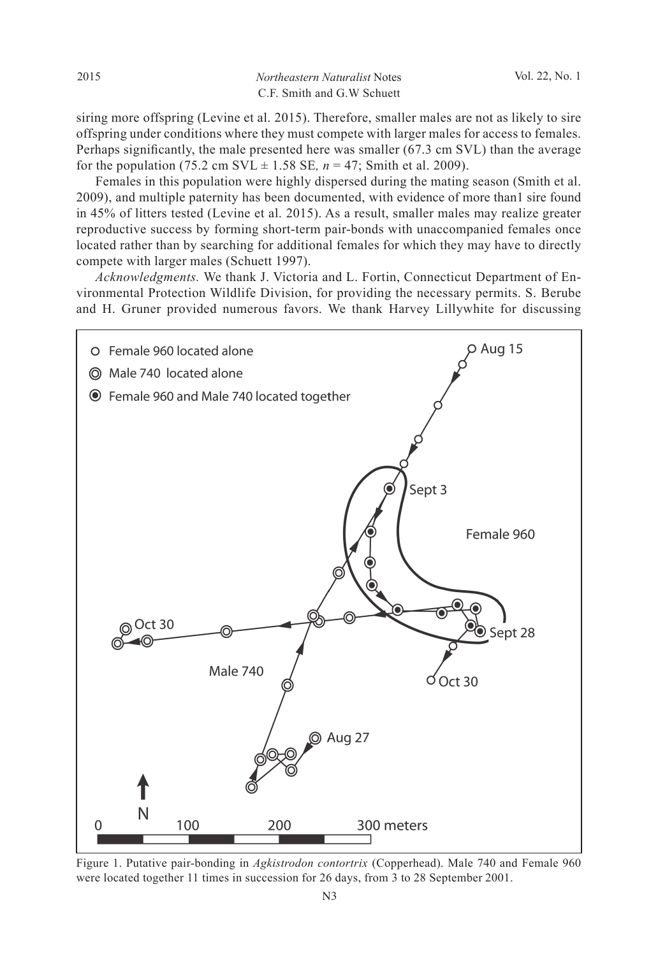2015 *Northeastern Naturalist* Notes Vol. 22, No. 1 C.F. Smith and G.W Schuett

siring more offspring (Levine et al. 2015). Therefore, smaller males are not as likely to sire offspring under conditions where they must compete with larger males for access to females. Perhaps significantly, the male presented here was smaller (67.3 cm SVL) than the average for the population (75.2 cm SVL  $\pm$  1.58 SE,  $n = 47$ ; Smith et al. 2009).

 Females in this population were highly dispersed during the mating season (Smith et al. 2009), and multiple paternity has been documented, with evidence of more than1 sire found in 45% of litters tested (Levine et al. 2015). As a result, smaller males may realize greater reproductive success by forming short-term pair-bonds with unaccompanied females once located rather than by searching for additional females for which they may have to directly compete with larger males (Schuett 1997).

*Acknowledgments.* We thank J. Victoria and L. Fortin, Connecticut Department of Environmental Protection Wildlife Division, for providing the necessary permits. S. Berube and H. Gruner provided numerous favors. We thank Harvey Lillywhite for discussing



Figure 1. Putative pair-bonding in *Agkistrodon contortrix* (Copperhead). Male 740 and Female 960 were located together 11 times in succession for 26 days, from 3 to 28 September 2001.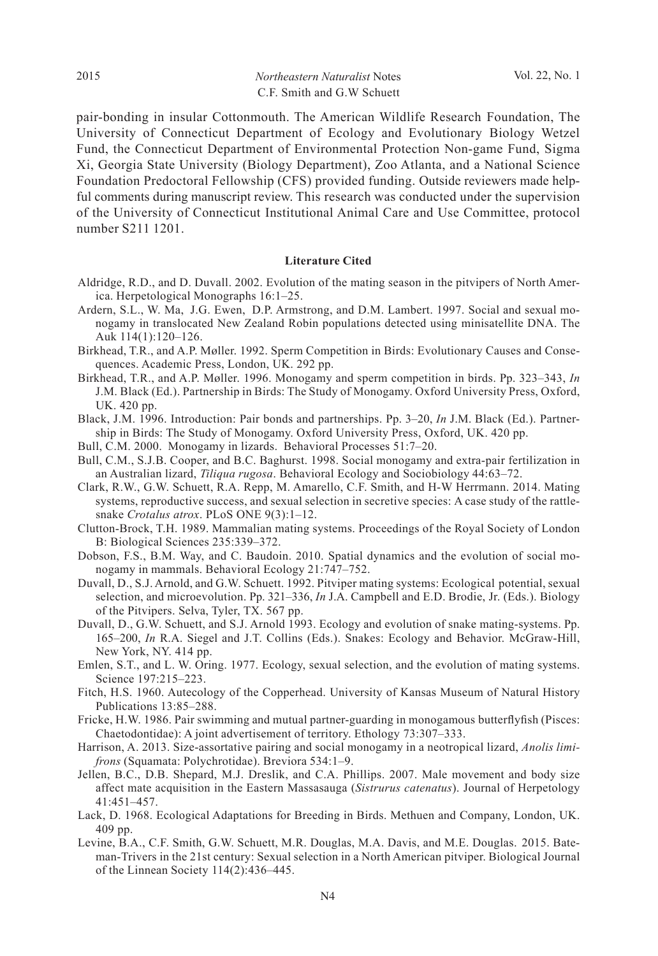## 2015 *Northeastern Naturalist* Notes Vol. 22, No. 1 C.F. Smith and G.W Schuett

pair-bonding in insular Cottonmouth. The American Wildlife Research Foundation, The University of Connecticut Department of Ecology and Evolutionary Biology Wetzel Fund, the Connecticut Department of Environmental Protection Non-game Fund, Sigma Xi, Georgia State University (Biology Department), Zoo Atlanta, and a National Science Foundation Predoctoral Fellowship (CFS) provided funding. Outside reviewers made helpful comments during manuscript review. This research was conducted under the supervision of the University of Connecticut Institutional Animal Care and Use Committee, protocol number S211 1201.

## **Literature Cited**

- Aldridge, R.D., and D. Duvall. 2002. Evolution of the mating season in the pitvipers of North America. Herpetological Monographs 16:1–25.
- Ardern, S.L., W. Ma, J.G. Ewen, D.P. Armstrong, and D.M. Lambert. 1997. Social and sexual monogamy in translocated New Zealand Robin populations detected using minisatellite DNA. The Auk 114(1):120–126.
- Birkhead, T.R., and A.P. Møller. 1992. Sperm Competition in Birds: Evolutionary Causes and Consequences. Academic Press, London, UK. 292 pp.
- Birkhead, T.R., and A.P. Møller. 1996. Monogamy and sperm competition in birds. Pp. 323–343, *In* J.M. Black (Ed.). Partnership in Birds: The Study of Monogamy. Oxford University Press, Oxford, UK. 420 pp.
- Black, J.M. 1996. Introduction: Pair bonds and partnerships. Pp. 3–20, *In* J.M. Black (Ed.). Partnership in Birds: The Study of Monogamy. Oxford University Press, Oxford, UK. 420 pp.
- Bull, C.M. 2000. Monogamy in lizards. Behavioral Processes 51:7–20.
- Bull, C.M., S.J.B. Cooper, and B.C. Baghurst. 1998. Social monogamy and extra-pair fertilization in an Australian lizard, *Tiliqua rugosa*. Behavioral Ecology and Sociobiology 44:63–72.
- Clark, R.W., G.W. Schuett, R.A. Repp, M. Amarello, C.F. Smith, and H-W Herrmann. 2014. Mating systems, reproductive success, and sexual selection in secretive species: A case study of the rattlesnake *Crotalus atrox*. PLoS ONE 9(3):1–12.
- Clutton-Brock, T.H. 1989. Mammalian mating systems. Proceedings of the Royal Society of London B: Biological Sciences 235:339–372.
- Dobson, F.S., B.M. Way, and C. Baudoin. 2010. Spatial dynamics and the evolution of social monogamy in mammals. Behavioral Ecology 21:747–752.
- Duvall, D., S.J. Arnold, and G.W. Schuett. 1992. Pitviper mating systems: Ecological potential, sexual selection, and microevolution. Pp. 321–336, *In* J.A. Campbell and E.D. Brodie, Jr. (Eds.). Biology of the Pitvipers. Selva, Tyler, TX. 567 pp.
- Duvall, D., G.W. Schuett, and S.J. Arnold 1993. Ecology and evolution of snake mating-systems. Pp. 165–200, *In* R.A. Siegel and J.T. Collins (Eds.). Snakes: Ecology and Behavior. McGraw-Hill, New York, NY. 414 pp.
- Emlen, S.T., and L. W. Oring. 1977. Ecology, sexual selection, and the evolution of mating systems. Science 197:215–223.
- Fitch, H.S. 1960. Autecology of the Copperhead. University of Kansas Museum of Natural History Publications 13:85–288.
- Fricke, H.W. 1986. Pair swimming and mutual partner-guarding in monogamous butterflyfish (Pisces: Chaetodontidae): A joint advertisement of territory. Ethology 73:307–333.
- Harrison, A. 2013. Size-assortative pairing and social monogamy in a neotropical lizard, *Anolis limifrons* (Squamata: Polychrotidae). Breviora 534:1–9.
- Jellen, B.C., D.B. Shepard, M.J. Dreslik, and C.A. Phillips. 2007. Male movement and body size affect mate acquisition in the Eastern Massasauga (*Sistrurus catenatus*). Journal of Herpetology 41:451–457.
- Lack, D. 1968. Ecological Adaptations for Breeding in Birds. Methuen and Company, London, UK. 409 pp.
- Levine, B.A., C.F. Smith, G.W. Schuett, M.R. Douglas, M.A. Davis, and M.E. Douglas. 2015. Bateman-Trivers in the 21st century: Sexual selection in a North American pitviper. Biological Journal of the Linnean Society 114(2):436–445.